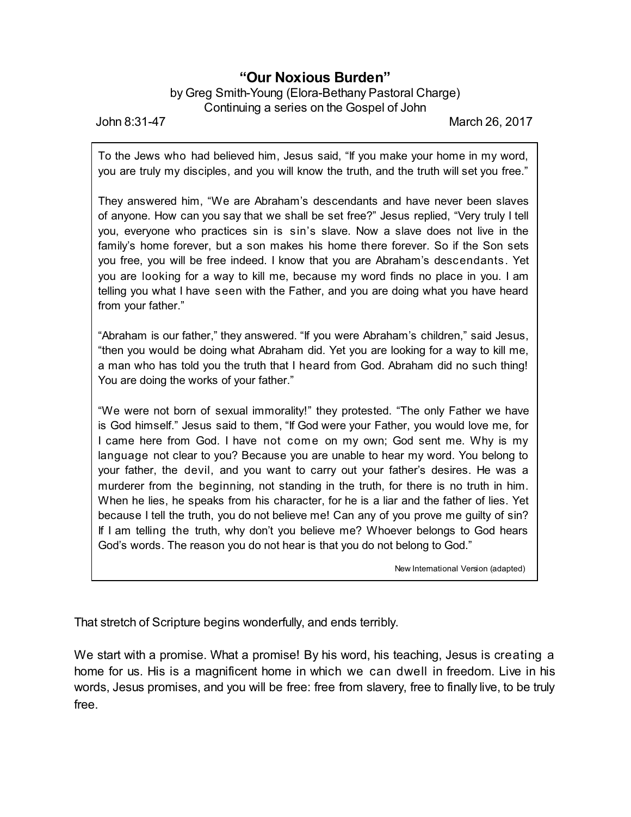## **"Our Noxious Burden"**

## by Greg Smith-Young (Elora-Bethany Pastoral Charge) Continuing a series on the Gospel of John

John 8:31-47 March 26, 2017

To the Jews who had believed him, Jesus said, "If you make your home in my word, you are truly my disciples, and you will know the truth, and the truth will set you free."

They answered him, "We are Abraham's descendants and have never been slaves of anyone. How can you say that we shall be set free?" Jesus replied, "Very truly I tell you, everyone who practices sin is sin's slave. Now a slave does not live in the family's home forever, but a son makes his home there forever. So if the Son sets you free, you will be free indeed. I know that you are Abraham's descendants. Yet you are looking for a way to kill me, because my word finds no place in you. I am telling you what I have seen with the Father, and you are doing what you have heard from your father."

"Abraham is our father," they answered. "If you were Abraham's children," said Jesus, "then you would be doing what Abraham did. Yet you are looking for a way to kill me, a man who has told you the truth that I heard from God. Abraham did no such thing! You are doing the works of your father."

"We were not born of sexual immorality!" they protested. "The only Father we have is God himself." Jesus said to them, "If God were your Father, you would love me, for I came here from God. I have not come on my own; God sent me. Why is my language not clear to you? Because you are unable to hear my word. You belong to your father, the devil, and you want to carry out your father's desires. He was a murderer from the beginning, not standing in the truth, for there is no truth in him. When he lies, he speaks from his character, for he is a liar and the father of lies. Yet because I tell the truth, you do not believe me! Can any of you prove me guilty of sin? If I am telling the truth, why don't you believe me? Whoever belongs to God hears God's words. The reason you do not hear is that you do not belong to God."

New International Version (adapted)

That stretch of Scripture begins wonderfully, and ends terribly.

We start with a promise. What a promise! By his word, his teaching, Jesus is creating a home for us. His is a magnificent home in which we can dwell in freedom. Live in his words, Jesus promises, and you will be free: free from slavery, free to finally live, to be truly free.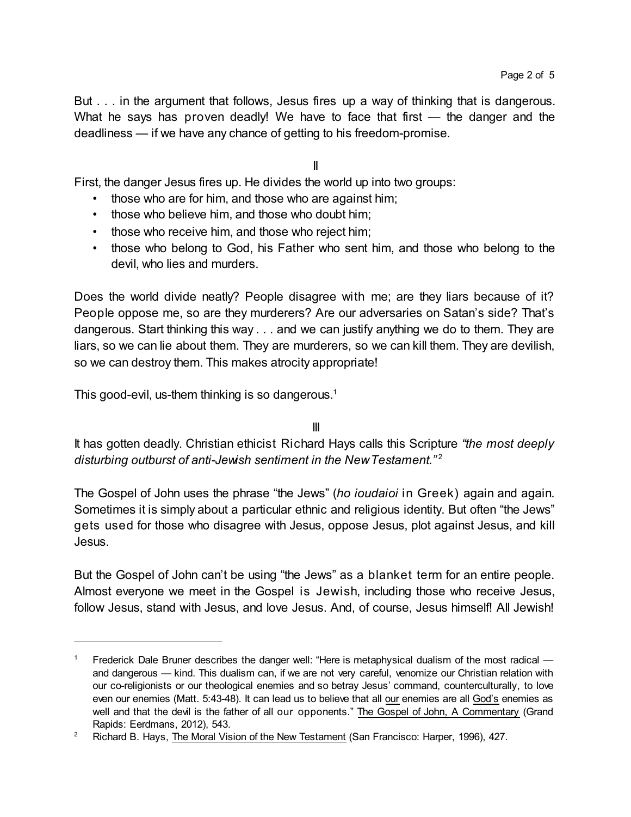But . . . in the argument that follows, Jesus fires up a way of thinking that is dangerous. What he says has proven deadly! We have to face that first — the danger and the deadliness — if we have any chance of getting to his freedom-promise.

## II

First, the danger Jesus fires up. He divides the world up into two groups:

- those who are for him, and those who are against him;
- those who believe him, and those who doubt him;
- those who receive him, and those who reject him;
- those who belong to God, his Father who sent him, and those who belong to the devil, who lies and murders.

Does the world divide neatly? People disagree with me; are they liars because of it? People oppose me, so are they murderers? Are our adversaries on Satan's side? That's dangerous. Start thinking this way . . . and we can justify anything we do to them. They are liars, so we can lie about them. They are murderers, so we can kill them. They are devilish, so we can destroy them. This makes atrocity appropriate!

This good-evil, us-them thinking is so dangerous.<sup>1</sup>

## III

It has gotten deadly. Christian ethicist Richard Hays calls this Scripture *"the most deeply disturbing outburst of anti-Jewish sentiment in the NewTestament."* 2

The Gospel of John uses the phrase "the Jews" (*ho ioudaioi* in Greek) again and again. Sometimes it is simply about a particular ethnic and religious identity. But often "the Jews" gets used for those who disagree with Jesus, oppose Jesus, plot against Jesus, and kill Jesus.

But the Gospel of John can't be using "the Jews" as a blanket term for an entire people. Almost everyone we meet in the Gospel is Jewish, including those who receive Jesus, follow Jesus, stand with Jesus, and love Jesus. And, of course, Jesus himself! All Jewish!

<sup>&</sup>lt;sup>1</sup> Frederick Dale Bruner describes the danger well: "Here is metaphysical dualism of the most radical  $$ and dangerous — kind. This dualism can, if we are not very careful, venomize our Christian relation with our co-religionists or our theological enemies and so betray Jesus' command, counterculturally, to love even our enemies (Matt. 5:43-48). It can lead us to believe that all our enemies are all God's enemies as well and that the devil is the father of all our opponents." The Gospel of John, A Commentary (Grand Rapids: Eerdmans, 2012), 543.

<sup>&</sup>lt;sup>2</sup> Richard B. Hays, The Moral Vision of the New Testament (San Francisco: Harper, 1996), 427.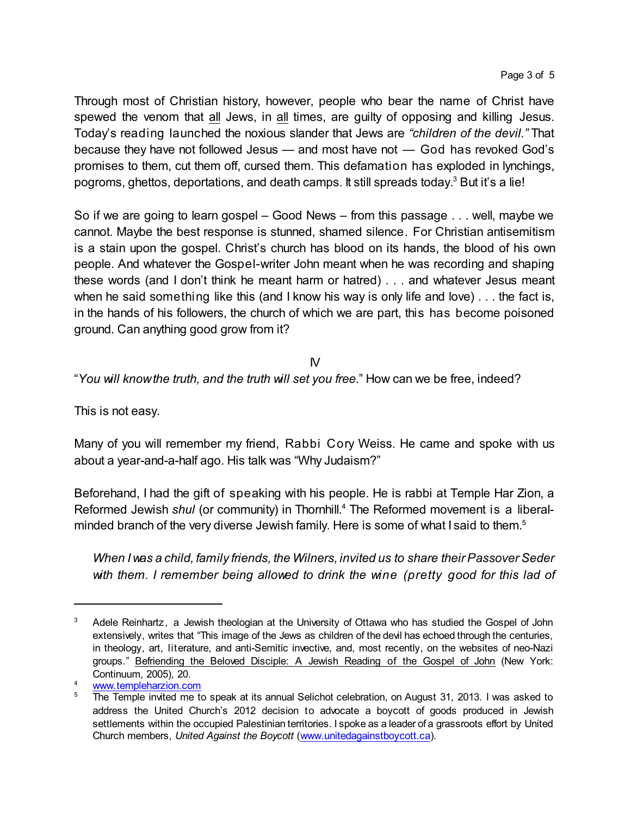Through most of Christian history, however, people who bear the name of Christ have spewed the venom that all Jews, in all times, are guilty of opposing and killing Jesus. Today's reading launched the noxious slander that Jews are *"children of the devil."* That because they have not followed Jesus — and most have not — God has revoked God's promises to them, cut them off, cursed them. This defamation has exploded in lynchings, pogroms, ghettos, deportations, and death camps. It still spreads today.<sup>3</sup> But it's a lie!

So if we are going to learn gospel – Good News – from this passage . . . well, maybe we cannot. Maybe the best response is stunned, shamed silence. For Christian antisemitism is a stain upon the gospel. Christ's church has blood on its hands, the blood of his own people. And whatever the Gospel-writer John meant when he was recording and shaping these words (and I don't think he meant harm or hatred) . . . and whatever Jesus meant when he said something like this (and I know his way is only life and love)... the fact is, in the hands of his followers, the church of which we are part, this has become poisoned ground. Can anything good grow from it?

IV

"*You will knowthe truth, and the truth will set you free.*" How can we be free, indeed?

This is not easy.

Many of you will remember my friend, Rabbi Cory Weiss. He came and spoke with us about a year-and-a-half ago. His talk was "Why Judaism?"

Beforehand, I had the gift of speaking with his people. He is rabbi at Temple Har Zion, a Reformed Jewish *shul* (or community) in Thornhill. <sup>4</sup> The Reformed movement is a liberalminded branch of the very diverse Jewish family. Here is some of what I said to them.<sup>5</sup>

*When I was a child, family friends, the Wilners, invited us to share theirPassover Seder with them. I remember being allowed to drink the wine (pretty good for this lad of*

 $3$  Adele Reinhartz, a Jewish theologian at the University of Ottawa who has studied the Gospel of John extensively, writes that "This image of the Jews as children of the devil has echoed through the centuries, in theology, art, literature, and anti-Semitic invective, and, most recently, on the websites of neo-Nazi groups." Befriending the Beloved Disciple: A Jewish Reading of the Gospel of John (New York: Continuum, 2005), 20.

<sup>4</sup> [www.templeharzion.com](http://www.templeharzion.com)

<sup>5</sup> The Temple invited me to speak at its annual Selichot celebration, on August 31, 2013. I was asked to address the United Church's 2012 decision to advocate a boycott of goods produced in Jewish settlements within the occupied Palestinian territories. I spoke as a leader of a grassroots effort by United Church members, *United Against the Boycott* [\(www.unitedagainstboycott.ca](http://www.unitedagainstboycott.ca))).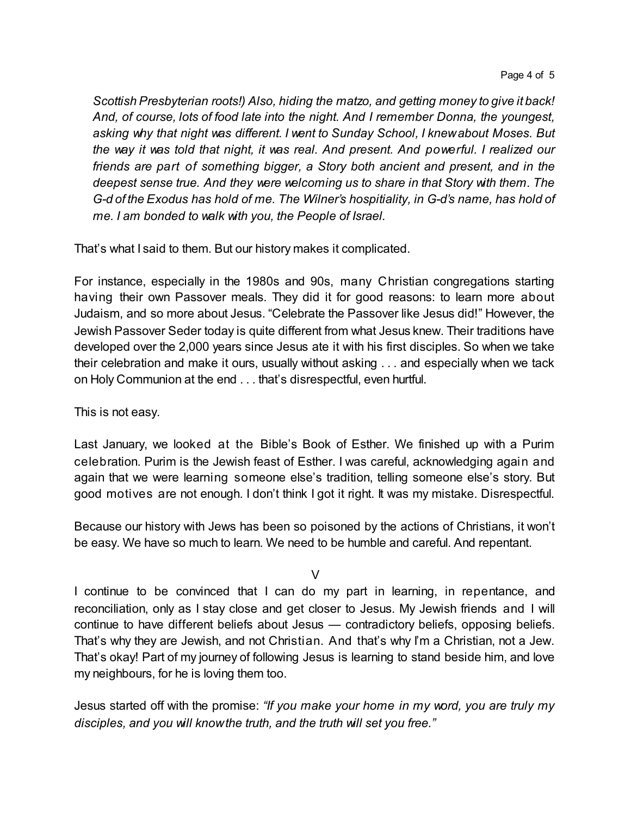*Scottish Presbyterian roots!) Also, hiding the matzo, and getting money to give it back! And, of course, lots of food late into the night. And I remember Donna, the youngest, asking why that night was different. I went to Sunday School, I knewabout Moses. But the way it was told that night, it was real. And present. And powerful. I realized our friends are part of something bigger, a Story both ancient and present, and in the deepest sense true. And they were welcoming us to share in that Story with them. The G-d of the Exodus has hold of me. The Wilner's hospitiality, in G-d's name, has hold of me. I am bonded to walk with you, the People of Israel.*

That's what I said to them. But our history makes it complicated.

For instance, especially in the 1980s and 90s, many Christian congregations starting having their own Passover meals. They did it for good reasons: to learn more about Judaism, and so more about Jesus. "Celebrate the Passover like Jesus did!" However, the Jewish Passover Seder today is quite different from what Jesus knew. Their traditions have developed over the 2,000 years since Jesus ate it with his first disciples. So when we take their celebration and make it ours, usually without asking . . . and especially when we tack on Holy Communion at the end . . . that's disrespectful, even hurtful.

This is not easy.

Last January, we looked at the Bible's Book of Esther. We finished up with a Purim celebration. Purim is the Jewish feast of Esther. I was careful, acknowledging again and again that we were learning someone else's tradition, telling someone else's story. But good motives are not enough. I don't think I got it right. It was my mistake. Disrespectful.

Because our history with Jews has been so poisoned by the actions of Christians, it won't be easy. We have so much to learn. We need to be humble and careful. And repentant.

V

I continue to be convinced that I can do my part in learning, in repentance, and reconciliation, only as I stay close and get closer to Jesus. My Jewish friends and I will continue to have different beliefs about Jesus — contradictory beliefs, opposing beliefs. That's why they are Jewish, and not Christian. And that's why I'm a Christian, not a Jew. That's okay! Part of my journey of following Jesus is learning to stand beside him, and love my neighbours, for he is loving them too.

Jesus started off with the promise: *"If you make your home in my word, you are truly my disciples, and you will knowthe truth, and the truth will set you free."*